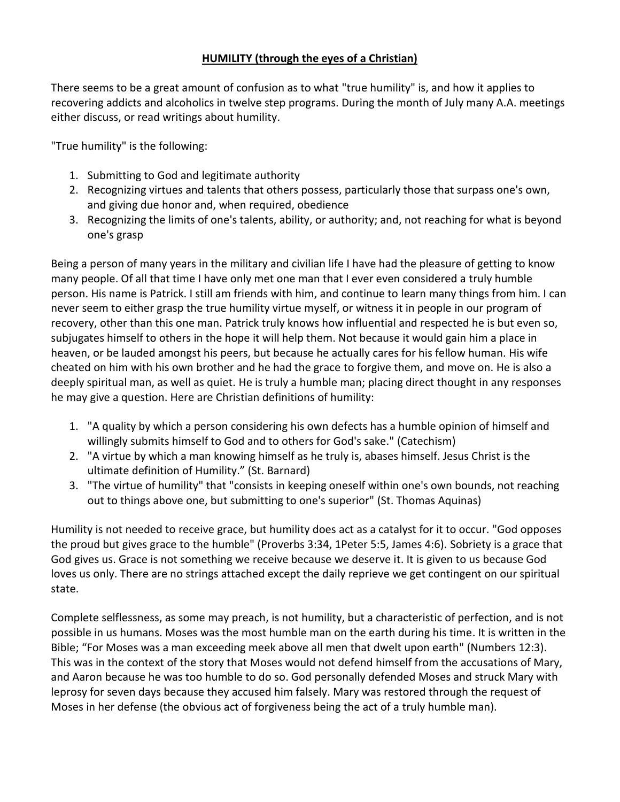## **HUMILITY (through the eyes of a Christian)**

There seems to be a great amount of confusion as to what "true humility" is, and how it applies to recovering addicts and alcoholics in twelve step programs. During the month of July many A.A. meetings either discuss, or read writings about humility.

"True humility" is the following:

- 1. Submitting to God and legitimate authority
- 2. Recognizing virtues and talents that others possess, particularly those that surpass one's own, and giving due honor and, when required, obedience
- 3. Recognizing the limits of one's talents, ability, or authority; and, not reaching for what is beyond one's grasp

Being a person of many years in the military and civilian life I have had the pleasure of getting to know many people. Of all that time I have only met one man that I ever even considered a truly humble person. His name is Patrick. I still am friends with him, and continue to learn many things from him. I can never seem to either grasp the true humility virtue myself, or witness it in people in our program of recovery, other than this one man. Patrick truly knows how influential and respected he is but even so, subjugates himself to others in the hope it will help them. Not because it would gain him a place in heaven, or be lauded amongst his peers, but because he actually cares for his fellow human. His wife cheated on him with his own brother and he had the grace to forgive them, and move on. He is also a deeply spiritual man, as well as quiet. He is truly a humble man; placing direct thought in any responses he may give a question. Here are Christian definitions of humility:

- 1. "A quality by which a person considering his own defects has a humble opinion of himself and willingly submits himself to God and to others for God's sake." (Catechism)
- 2. "A virtue by which a man knowing himself as he truly is, abases himself. Jesus Christ is the ultimate definition of Humility." (St. Barnard)
- 3. "The virtue of humility" that "consists in keeping oneself within one's own bounds, not reaching out to things above one, but submitting to one's superior" (St. Thomas Aquinas)

Humility is not needed to receive grace, but humility does act as a catalyst for it to occur. "God opposes the proud but gives grace to the humble" (Proverbs 3:34, 1Peter 5:5, James 4:6). Sobriety is a grace that God gives us. Grace is not something we receive because we deserve it. It is given to us because God loves us only. There are no strings attached except the daily reprieve we get contingent on our spiritual state.

Complete selflessness, as some may preach, is not humility, but a characteristic of perfection, and is not possible in us humans. Moses was the most humble man on the earth during his time. It is written in the Bible; "For Moses was a man exceeding meek above all men that dwelt upon earth" (Numbers 12:3). This was in the context of the story that Moses would not defend himself from the accusations of Mary, and Aaron because he was too humble to do so. God personally defended Moses and struck Mary with leprosy for seven days because they accused him falsely. Mary was restored through the request of Moses in her defense (the obvious act of forgiveness being the act of a truly humble man).